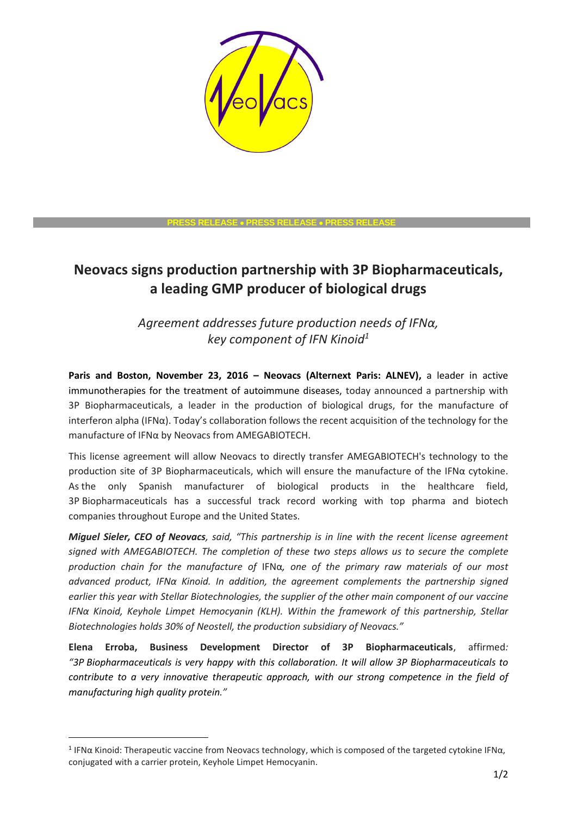

## **PRESS RELEASE PRESS RELEASE PRESS RELEASE**

# **Neovacs signs production partnership with 3P Biopharmaceuticals, a leading GMP producer of biological drugs**

*Agreement addresses future production needs of IFNα, key component of IFN Kinoid<sup>1</sup>*

**Paris and Boston, November 23, 2016 – Neovacs (Alternext Paris: ALNEV),** a leader in active immunotherapies for the treatment of autoimmune diseases, today announced a partnership with 3P Biopharmaceuticals, a leader in the production of biological drugs, for the manufacture of interferon alpha (IFN $\alpha$ ). Today's collaboration follows the recent acquisition of the technology for the manufacture of IFNα by Neovacs from AMEGABIOTECH.

This license agreement will allow Neovacs to directly transfer AMEGABIOTECH's technology to the production site of 3P Biopharmaceuticals, which will ensure the manufacture of the IFNα cytokine. As the only Spanish manufacturer of biological products in the healthcare field, 3P Biopharmaceuticals has a successful track record working with top pharma and biotech companies throughout Europe and the United States.

*Miguel Sieler, CEO of Neovacs, said, "This partnership is in line with the recent license agreement signed with AMEGABIOTECH. The completion of these two steps allows us to secure the complete production chain for the manufacture of* IFNα*, one of the primary raw materials of our most advanced product, IFNα Kinoid. In addition, the agreement complements the partnership signed earlier this year with Stellar Biotechnologies, the supplier of the other main component of our vaccine IFNα Kinoid, Keyhole Limpet Hemocyanin (KLH). Within the framework of this partnership, Stellar Biotechnologies holds 30% of Neostell, the production subsidiary of Neovacs."*

**Elena Erroba, Business Development Director of 3P Biopharmaceuticals**, affirmed*: "3P Biopharmaceuticals is very happy with this collaboration. It will allow 3P Biopharmaceuticals to contribute to a very innovative therapeutic approach, with our strong competence in the field of manufacturing high quality protein."*

-

<sup>&</sup>lt;sup>1</sup> IFNα Kinoid: Therapeutic vaccine from Neovacs technology, which is composed of the targeted cytokine IFNα, conjugated with a carrier protein, Keyhole Limpet Hemocyanin.